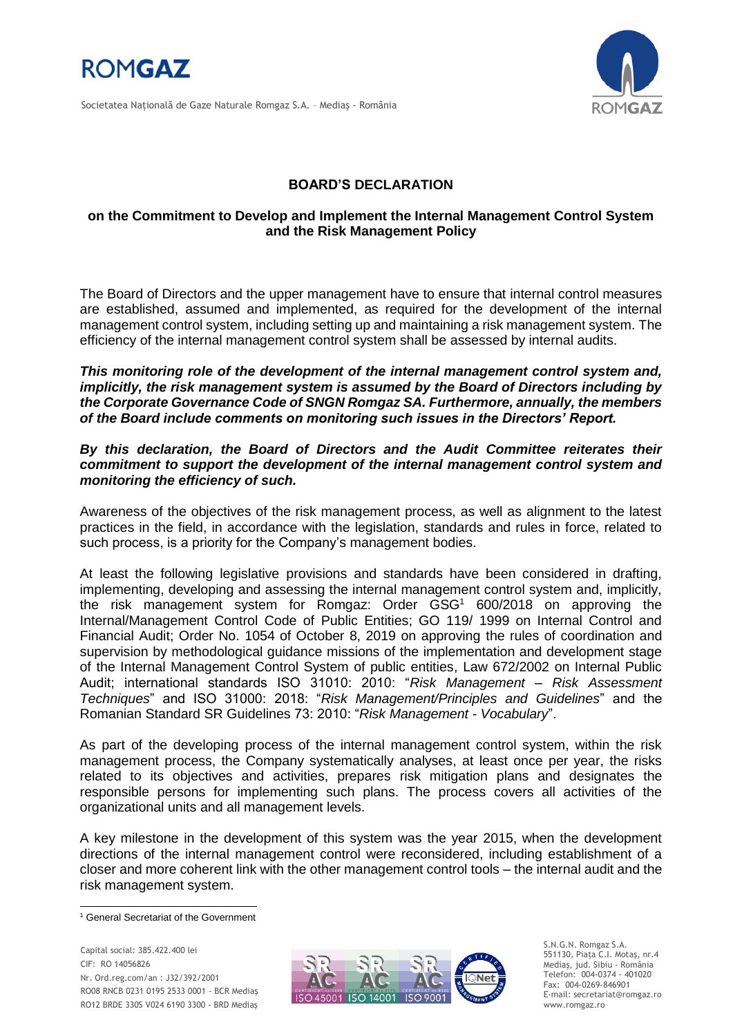

Societatea Naţională de Gaze Naturale Romgaz S.A. – Mediaş - România



## **BOARD'S DECLARATION**

## **on the Commitment to Develop and Implement the Internal Management Control System and the Risk Management Policy**

The Board of Directors and the upper management have to ensure that internal control measures are established, assumed and implemented, as required for the development of the internal management control system, including setting up and maintaining a risk management system. The efficiency of the internal management control system shall be assessed by internal audits.

*This monitoring role of the development of the internal management control system and, implicitly, the risk management system is assumed by the Board of Directors including by the Corporate Governance Code of SNGN Romgaz SA. Furthermore, annually, the members of the Board include comments on monitoring such issues in the Directors' Report.*

## *By this declaration, the Board of Directors and the Audit Committee reiterates their commitment to support the development of the internal management control system and monitoring the efficiency of such.*

Awareness of the objectives of the risk management process, as well as alignment to the latest practices in the field, in accordance with the legislation, standards and rules in force, related to such process, is a priority for the Company's management bodies.

At least the following legislative provisions and standards have been considered in drafting, implementing, developing and assessing the internal management control system and, implicitly, the risk management system for Romgaz: Order GSG<sup>1</sup> 600/2018 on approving the Internal/Management Control Code of Public Entities; GO 119/ 1999 on Internal Control and Financial Audit; Order No. 1054 of October 8, 2019 on approving the rules of coordination and supervision by methodological guidance missions of the implementation and development stage of the Internal Management Control System of public entities, Law 672/2002 on Internal Public Audit; international standards ISO 31010: 2010: "*Risk Management – Risk Assessment Techniques*" and ISO 31000: 2018: "*Risk Management/Principles and Guidelines*" and the Romanian Standard SR Guidelines 73: 2010: "*Risk Management - Vocabulary*".

As part of the developing process of the internal management control system, within the risk management process, the Company systematically analyses, at least once per year, the risks related to its objectives and activities, prepares risk mitigation plans and designates the responsible persons for implementing such plans. The process covers all activities of the organizational units and all management levels.

A key milestone in the development of this system was the year 2015, when the development directions of the internal management control were reconsidered, including establishment of a closer and more coherent link with the other management control tools – the internal audit and the risk management system.

l

Capital social: 385.422.400 lei CIF: RO 14056826 Nr. Ord.reg.com/an : J32/392/2001 RO08 RNCB 0231 0195 2533 0001 - BCR Mediaş RO12 BRDE 330S V024 6190 3300 - BRD Mediaş



S.N.G.N. Romgaz S.A. 551130, Piața C.I. Motaş, nr.4 Mediaş, jud. Sibiu - România Telefon: 004-0374 - 401020 Fax: 004-0269-846901 E-mail: secretariat@romgaz.ro www.romgaz.ro

<sup>1</sup> General Secretariat of the Government